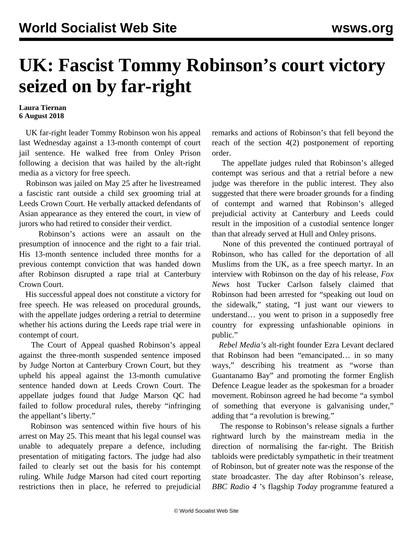## **UK: Fascist Tommy Robinson's court victory seized on by far-right**

## **Laura Tiernan 6 August 2018**

 UK far-right leader Tommy Robinson won his appeal last Wednesday against a 13-month contempt of court jail sentence. He walked free from Onley Prison following a decision that was hailed by the alt-right media as a victory for free speech.

 Robinson was jailed on May 25 after he livestreamed a fascistic rant outside a child sex grooming trial at Leeds Crown Court. He verbally attacked defendants of Asian appearance as they entered the court, in view of jurors who had retired to consider their verdict.

 Robinson's actions were an assault on the presumption of innocence and the right to a fair trial. His 13-month sentence included three months for a previous contempt conviction that was handed down after Robinson disrupted a rape trial at Canterbury Crown Court.

 His successful appeal does not constitute a victory for free speech. He was released on procedural grounds, with the appellate judges ordering a retrial to determine whether his actions during the Leeds rape trial were in contempt of court.

 The Court of Appeal quashed Robinson's appeal against the three-month suspended sentence imposed by Judge Norton at Canterbury Crown Court, but they upheld his appeal against the 13-month cumulative sentence handed down at Leeds Crown Court. The appellate judges found that Judge Marson QC had failed to follow procedural rules, thereby "infringing the appellant's liberty."

 Robinson was sentenced within five hours of his arrest on May 25. This meant that his legal counsel was unable to adequately prepare a defence, including presentation of mitigating factors. The judge had also failed to clearly set out the basis for his contempt ruling. While Judge Marson had cited court reporting restrictions then in place, he referred to prejudicial remarks and actions of Robinson's that fell beyond the reach of the section 4(2) postponement of reporting order.

 The appellate judges ruled that Robinson's alleged contempt was serious and that a retrial before a new judge was therefore in the public interest. They also suggested that there were broader grounds for a finding of contempt and warned that Robinson's alleged prejudicial activity at Canterbury and Leeds could result in the imposition of a custodial sentence longer than that already served at Hull and Onley prisons.

 None of this prevented the continued portrayal of Robinson, who has called for the deportation of all Muslims from the UK, as a free speech martyr. In an interview with Robinson on the day of his release, *Fox News* host Tucker Carlson falsely claimed that Robinson had been arrested for "speaking out loud on the sidewalk," stating, "I just want our viewers to understand… you went to prison in a supposedly free country for expressing unfashionable opinions in public."

 *Rebel Media's* alt-right founder Ezra Levant declared that Robinson had been "emancipated… in so many ways," describing his treatment as "worse than Guantanamo Bay" and promoting the former English Defence League leader as the spokesman for a broader movement. Robinson agreed he had become "a symbol of something that everyone is galvanising under," adding that "a revolution is brewing."

 The response to Robinson's release signals a further rightward lurch by the mainstream media in the direction of normalising the far-right. The British tabloids were predictably sympathetic in their treatment of Robinson, but of greater note was the response of the state broadcaster. The day after Robinson's release, *BBC Radio 4* 's flagship *Today* programme featured a